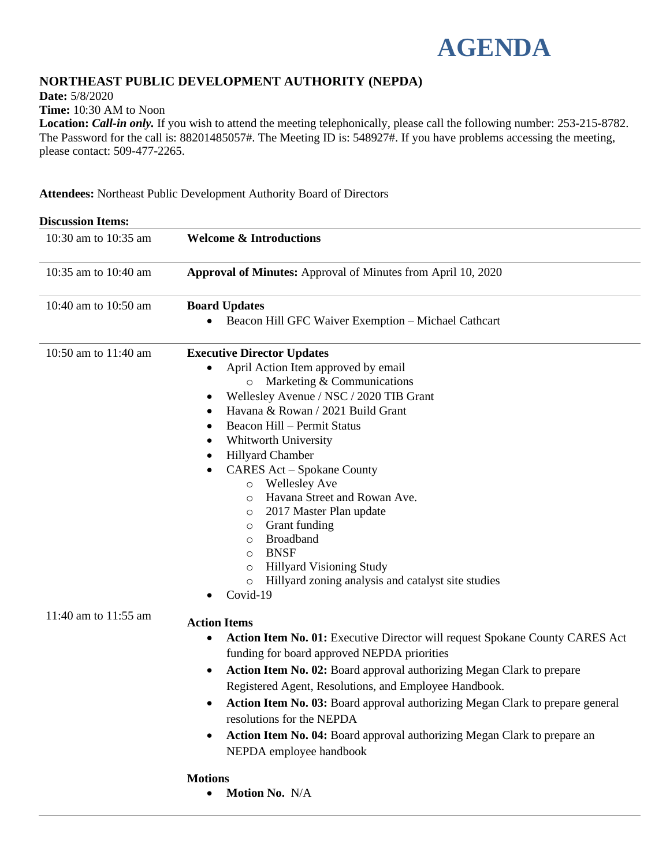

# **NORTHEAST PUBLIC DEVELOPMENT AUTHORITY (NEPDA)**

**Date:** 5/8/2020

**Time:** 10:30 AM to Noon

**Location:** *Call-in only.* If you wish to attend the meeting telephonically, please call the following number: 253-215-8782. The Password for the call is: 88201485057#. The Meeting ID is: 548927#. If you have problems accessing the meeting, please contact: 509-477-2265.

**Attendees:** Northeast Public Development Authority Board of Directors

| <b>Discussion Items:</b> |                                                                                                                                                                                                                                                                                                                                                                                                                                                                                                                                                                                                                                                                                            |
|--------------------------|--------------------------------------------------------------------------------------------------------------------------------------------------------------------------------------------------------------------------------------------------------------------------------------------------------------------------------------------------------------------------------------------------------------------------------------------------------------------------------------------------------------------------------------------------------------------------------------------------------------------------------------------------------------------------------------------|
| 10:30 am to 10:35 am     | <b>Welcome &amp; Introductions</b>                                                                                                                                                                                                                                                                                                                                                                                                                                                                                                                                                                                                                                                         |
| 10:35 am to 10:40 am     | Approval of Minutes: Approval of Minutes from April 10, 2020                                                                                                                                                                                                                                                                                                                                                                                                                                                                                                                                                                                                                               |
| 10:40 am to 10:50 am     | <b>Board Updates</b><br>Beacon Hill GFC Waiver Exemption - Michael Cathcart<br>$\bullet$                                                                                                                                                                                                                                                                                                                                                                                                                                                                                                                                                                                                   |
| 10:50 am to 11:40 am     | <b>Executive Director Updates</b><br>April Action Item approved by email<br>$\bullet$<br>$\circ$ Marketing & Communications<br>Wellesley Avenue / NSC / 2020 TIB Grant<br>٠<br>Havana & Rowan / 2021 Build Grant<br>٠<br><b>Beacon Hill - Permit Status</b><br>٠<br>Whitworth University<br>Hillyard Chamber<br><b>CARES Act - Spokane County</b><br><b>Wellesley Ave</b><br>$\circ$<br>Havana Street and Rowan Ave.<br>$\circ$<br>2017 Master Plan update<br>$\circ$<br>Grant funding<br>$\circ$<br><b>Broadband</b><br>$\circ$<br><b>BNSF</b><br>$\circ$<br><b>Hillyard Visioning Study</b><br>$\circ$<br>Hillyard zoning analysis and catalyst site studies<br>$\circ$<br>Covid-19<br>٠ |
| 11:40 am to 11:55 am     | <b>Action Items</b><br>Action Item No. 01: Executive Director will request Spokane County CARES Act<br>funding for board approved NEPDA priorities<br>Action Item No. 02: Board approval authorizing Megan Clark to prepare<br>$\bullet$<br>Registered Agent, Resolutions, and Employee Handbook.<br>Action Item No. 03: Board approval authorizing Megan Clark to prepare general<br>resolutions for the NEPDA<br>Action Item No. 04: Board approval authorizing Megan Clark to prepare an<br>$\bullet$<br>NEPDA employee handbook<br><b>Motions</b><br>$\bullet$ Motion No. N/A                                                                                                          |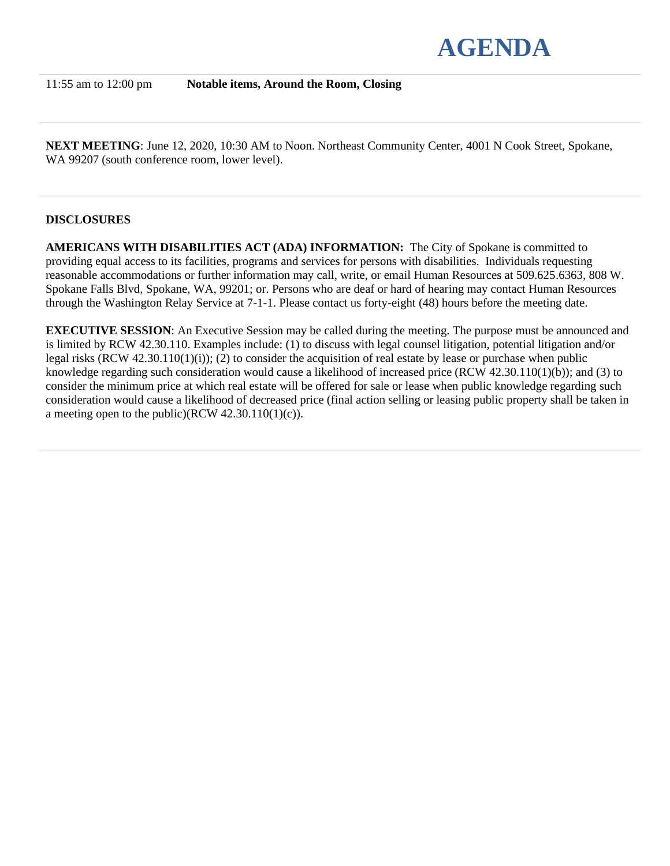

11:55 am to 12:00 pm **Notable items, Around the Room, Closing**

**NEXT MEETING**: June 12, 2020, 10:30 AM to Noon. Northeast Community Center, 4001 N Cook Street, Spokane, WA 99207 (south conference room, lower level).

# **DISCLOSURES**

**AMERICANS WITH DISABILITIES ACT (ADA) INFORMATION:** The City of Spokane is committed to providing equal access to its facilities, programs and services for persons with disabilities. Individuals requesting reasonable accommodations or further information may call, write, or email Human Resources at 509.625.6363, 808 W. Spokane Falls Blvd, Spokane, WA, 99201; or. Persons who are deaf or hard of hearing may contact Human Resources through the Washington Relay Service at 7-1-1. Please contact us forty-eight (48) hours before the meeting date.

**EXECUTIVE SESSION:** An Executive Session may be called during the meeting. The purpose must be announced and is limited by RCW 42.30.110. Examples include: (1) to discuss with legal counsel litigation, potential litigation and/or legal risks (RCW 42.30.110(1)(i)); (2) to consider the acquisition of real estate by lease or purchase when public knowledge regarding such consideration would cause a likelihood of increased price (RCW 42.30.110(1)(b)); and (3) to consider the minimum price at which real estate will be offered for sale or lease when public knowledge regarding such consideration would cause a likelihood of decreased price (final action selling or leasing public property shall be taken in a meeting open to the public)(RCW  $42.30.110(1)(c)$ ).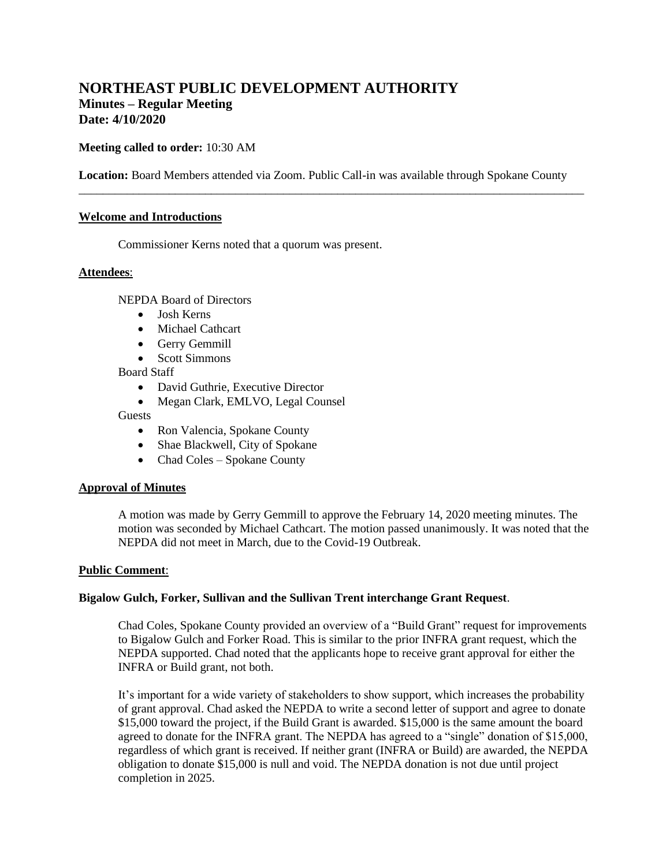# **NORTHEAST PUBLIC DEVELOPMENT AUTHORITY Minutes – Regular Meeting Date: 4/10/2020**

## **Meeting called to order:** 10:30 AM

**Location:** Board Members attended via Zoom. Public Call-in was available through Spokane County

\_\_\_\_\_\_\_\_\_\_\_\_\_\_\_\_\_\_\_\_\_\_\_\_\_\_\_\_\_\_\_\_\_\_\_\_\_\_\_\_\_\_\_\_\_\_\_\_\_\_\_\_\_\_\_\_\_\_\_\_\_\_\_\_\_\_\_\_\_\_\_\_\_\_\_\_\_\_\_\_\_\_\_\_

### **Welcome and Introductions**

Commissioner Kerns noted that a quorum was present.

### **Attendees**:

NEPDA Board of Directors

- Josh Kerns
- Michael Cathcart
- Gerry Gemmill
- Scott Simmons

Board Staff

- David Guthrie, Executive Director
- Megan Clark, EMLVO, Legal Counsel

Guests

- Ron Valencia, Spokane County
- Shae Blackwell, City of Spokane
- Chad Coles Spokane County

#### **Approval of Minutes**

A motion was made by Gerry Gemmill to approve the February 14, 2020 meeting minutes. The motion was seconded by Michael Cathcart. The motion passed unanimously. It was noted that the NEPDA did not meet in March, due to the Covid-19 Outbreak.

#### **Public Comment**:

#### **Bigalow Gulch, Forker, Sullivan and the Sullivan Trent interchange Grant Request**.

Chad Coles, Spokane County provided an overview of a "Build Grant" request for improvements to Bigalow Gulch and Forker Road. This is similar to the prior INFRA grant request, which the NEPDA supported. Chad noted that the applicants hope to receive grant approval for either the INFRA or Build grant, not both.

It's important for a wide variety of stakeholders to show support, which increases the probability of grant approval. Chad asked the NEPDA to write a second letter of support and agree to donate \$15,000 toward the project, if the Build Grant is awarded. \$15,000 is the same amount the board agreed to donate for the INFRA grant. The NEPDA has agreed to a "single" donation of \$15,000, regardless of which grant is received. If neither grant (INFRA or Build) are awarded, the NEPDA obligation to donate \$15,000 is null and void. The NEPDA donation is not due until project completion in 2025.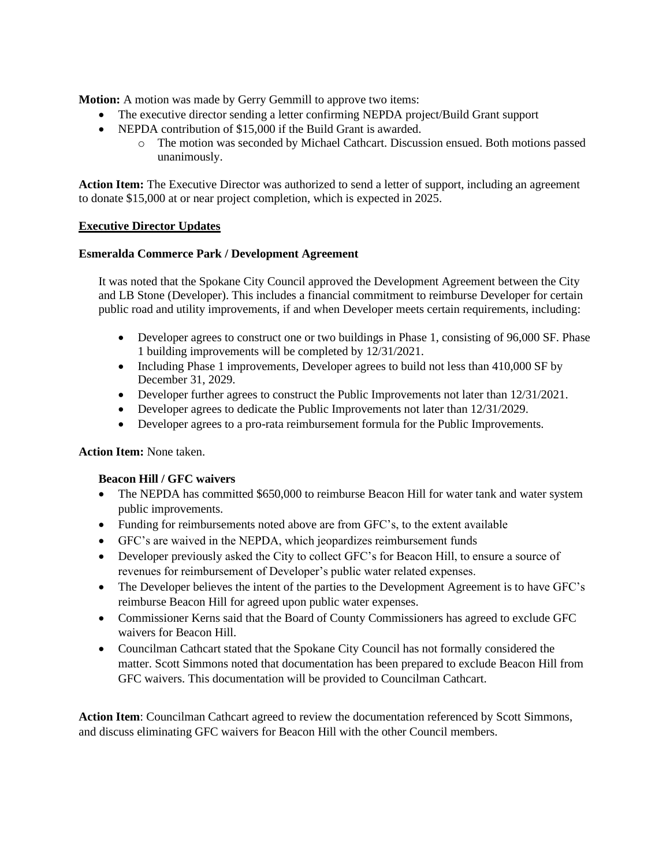**Motion:** A motion was made by Gerry Gemmill to approve two items:

- The executive director sending a letter confirming NEPDA project/Build Grant support
- NEPDA contribution of \$15,000 if the Build Grant is awarded.
	- o The motion was seconded by Michael Cathcart. Discussion ensued. Both motions passed unanimously.

**Action Item:** The Executive Director was authorized to send a letter of support, including an agreement to donate \$15,000 at or near project completion, which is expected in 2025.

## **Executive Director Updates**

### **Esmeralda Commerce Park / Development Agreement**

It was noted that the Spokane City Council approved the Development Agreement between the City and LB Stone (Developer). This includes a financial commitment to reimburse Developer for certain public road and utility improvements, if and when Developer meets certain requirements, including:

- Developer agrees to construct one or two buildings in Phase 1, consisting of 96,000 SF. Phase 1 building improvements will be completed by 12/31/2021.
- Including Phase 1 improvements, Developer agrees to build not less than 410,000 SF by December 31, 2029.
- Developer further agrees to construct the Public Improvements not later than  $12/31/2021$ .
- Developer agrees to dedicate the Public Improvements not later than  $12/31/2029$ .
- Developer agrees to a pro-rata reimbursement formula for the Public Improvements.

## **Action Item:** None taken.

## **Beacon Hill / GFC waivers**

- The NEPDA has committed \$650,000 to reimburse Beacon Hill for water tank and water system public improvements.
- Funding for reimbursements noted above are from GFC's, to the extent available
- GFC's are waived in the NEPDA, which jeopardizes reimbursement funds
- Developer previously asked the City to collect GFC's for Beacon Hill, to ensure a source of revenues for reimbursement of Developer's public water related expenses.
- The Developer believes the intent of the parties to the Development Agreement is to have GFC's reimburse Beacon Hill for agreed upon public water expenses.
- Commissioner Kerns said that the Board of County Commissioners has agreed to exclude GFC waivers for Beacon Hill.
- Councilman Cathcart stated that the Spokane City Council has not formally considered the matter. Scott Simmons noted that documentation has been prepared to exclude Beacon Hill from GFC waivers. This documentation will be provided to Councilman Cathcart.

**Action Item**: Councilman Cathcart agreed to review the documentation referenced by Scott Simmons, and discuss eliminating GFC waivers for Beacon Hill with the other Council members.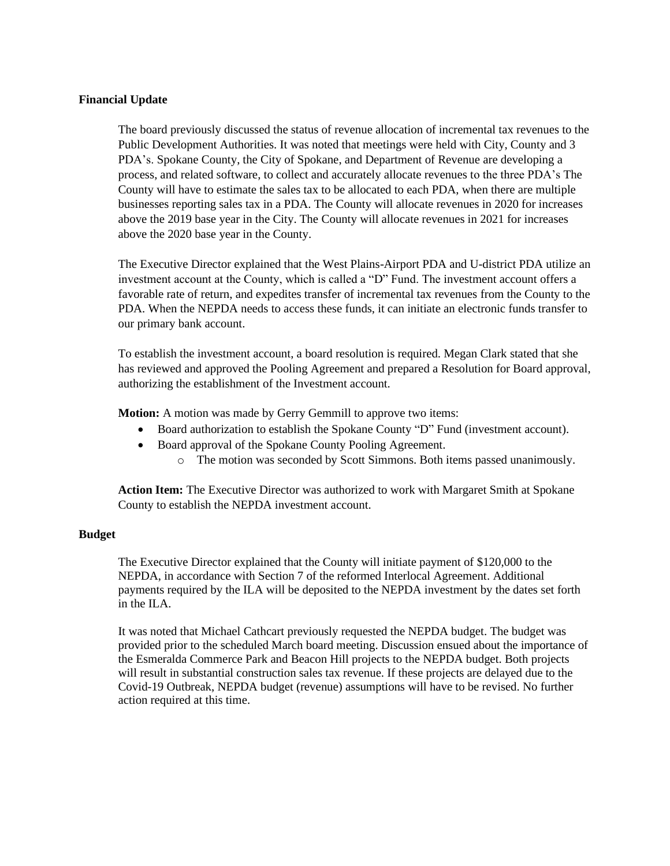## **Financial Update**

The board previously discussed the status of revenue allocation of incremental tax revenues to the Public Development Authorities. It was noted that meetings were held with City, County and 3 PDA's. Spokane County, the City of Spokane, and Department of Revenue are developing a process, and related software, to collect and accurately allocate revenues to the three PDA's The County will have to estimate the sales tax to be allocated to each PDA, when there are multiple businesses reporting sales tax in a PDA. The County will allocate revenues in 2020 for increases above the 2019 base year in the City. The County will allocate revenues in 2021 for increases above the 2020 base year in the County.

The Executive Director explained that the West Plains-Airport PDA and U-district PDA utilize an investment account at the County, which is called a "D" Fund. The investment account offers a favorable rate of return, and expedites transfer of incremental tax revenues from the County to the PDA. When the NEPDA needs to access these funds, it can initiate an electronic funds transfer to our primary bank account.

To establish the investment account, a board resolution is required. Megan Clark stated that she has reviewed and approved the Pooling Agreement and prepared a Resolution for Board approval, authorizing the establishment of the Investment account.

**Motion:** A motion was made by Gerry Gemmill to approve two items:

- Board authorization to establish the Spokane County "D" Fund (investment account).
- Board approval of the Spokane County Pooling Agreement.
	- o The motion was seconded by Scott Simmons. Both items passed unanimously.

**Action Item:** The Executive Director was authorized to work with Margaret Smith at Spokane County to establish the NEPDA investment account.

## **Budget**

The Executive Director explained that the County will initiate payment of \$120,000 to the NEPDA, in accordance with Section 7 of the reformed Interlocal Agreement. Additional payments required by the ILA will be deposited to the NEPDA investment by the dates set forth in the ILA.

It was noted that Michael Cathcart previously requested the NEPDA budget. The budget was provided prior to the scheduled March board meeting. Discussion ensued about the importance of the Esmeralda Commerce Park and Beacon Hill projects to the NEPDA budget. Both projects will result in substantial construction sales tax revenue. If these projects are delayed due to the Covid-19 Outbreak, NEPDA budget (revenue) assumptions will have to be revised. No further action required at this time.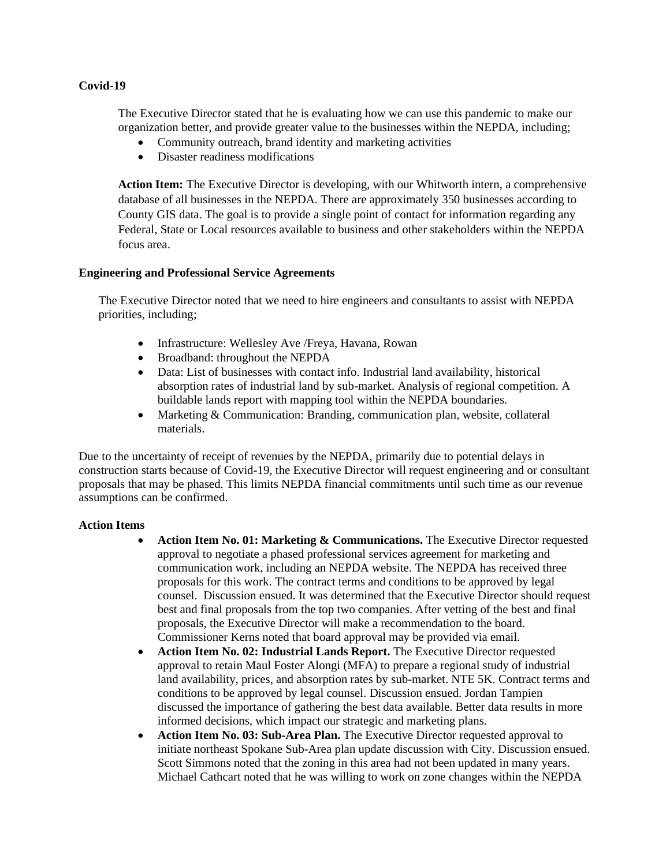## **Covid-19**

The Executive Director stated that he is evaluating how we can use this pandemic to make our organization better, and provide greater value to the businesses within the NEPDA, including;

- Community outreach, brand identity and marketing activities
- Disaster readiness modifications

**Action Item:** The Executive Director is developing, with our Whitworth intern, a comprehensive database of all businesses in the NEPDA. There are approximately 350 businesses according to County GIS data. The goal is to provide a single point of contact for information regarding any Federal, State or Local resources available to business and other stakeholders within the NEPDA focus area.

## **Engineering and Professional Service Agreements**

The Executive Director noted that we need to hire engineers and consultants to assist with NEPDA priorities, including;

- Infrastructure: Wellesley Ave /Freya, Havana, Rowan
- Broadband: throughout the NEPDA
- Data: List of businesses with contact info. Industrial land availability, historical absorption rates of industrial land by sub-market. Analysis of regional competition. A buildable lands report with mapping tool within the NEPDA boundaries.
- Marketing & Communication: Branding, communication plan, website, collateral materials.

Due to the uncertainty of receipt of revenues by the NEPDA, primarily due to potential delays in construction starts because of Covid-19, the Executive Director will request engineering and or consultant proposals that may be phased. This limits NEPDA financial commitments until such time as our revenue assumptions can be confirmed.

#### **Action Items**

- **Action Item No. 01: Marketing & Communications.** The Executive Director requested approval to negotiate a phased professional services agreement for marketing and communication work, including an NEPDA website. The NEPDA has received three proposals for this work. The contract terms and conditions to be approved by legal counsel. Discussion ensued. It was determined that the Executive Director should request best and final proposals from the top two companies. After vetting of the best and final proposals, the Executive Director will make a recommendation to the board. Commissioner Kerns noted that board approval may be provided via email.
- **Action Item No. 02: Industrial Lands Report.** The Executive Director requested approval to retain Maul Foster Alongi (MFA) to prepare a regional study of industrial land availability, prices, and absorption rates by sub-market. NTE 5K. Contract terms and conditions to be approved by legal counsel. Discussion ensued. Jordan Tampien discussed the importance of gathering the best data available. Better data results in more informed decisions, which impact our strategic and marketing plans.
- **Action Item No. 03: Sub-Area Plan.** The Executive Director requested approval to initiate northeast Spokane Sub-Area plan update discussion with City. Discussion ensued. Scott Simmons noted that the zoning in this area had not been updated in many years. Michael Cathcart noted that he was willing to work on zone changes within the NEPDA